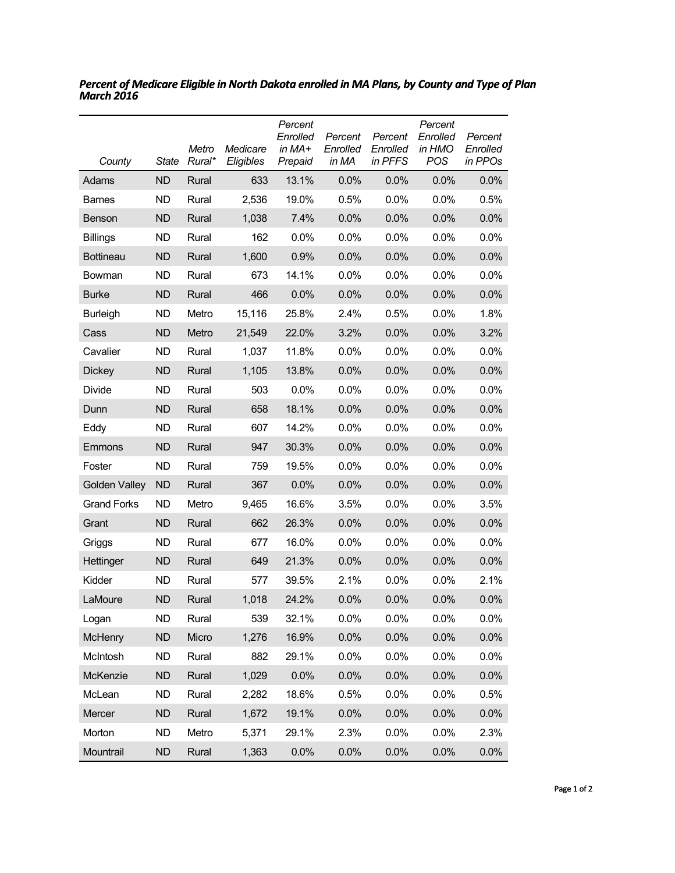| County             | <b>State</b> | Metro<br>Rural* | Medicare<br>Eligibles | Percent<br>Enrolled<br>in $MA+$<br>Prepaid | Percent<br>Enrolled<br>in MA | Percent<br>Enrolled<br>in PFFS | Percent<br>Enrolled<br>in HMO<br>POS | Percent<br>Enrolled<br>in PPOs |
|--------------------|--------------|-----------------|-----------------------|--------------------------------------------|------------------------------|--------------------------------|--------------------------------------|--------------------------------|
| Adams              | <b>ND</b>    | Rural           | 633                   | 13.1%                                      | $0.0\%$                      | 0.0%                           | 0.0%                                 | 0.0%                           |
| <b>Barnes</b>      | <b>ND</b>    | Rural           | 2,536                 | 19.0%                                      | 0.5%                         | 0.0%                           | 0.0%                                 | 0.5%                           |
| Benson             | <b>ND</b>    | Rural           | 1,038                 | 7.4%                                       | 0.0%                         | 0.0%                           | 0.0%                                 | 0.0%                           |
| <b>Billings</b>    | ND           | Rural           | 162                   | 0.0%                                       | $0.0\%$                      | 0.0%                           | 0.0%                                 | 0.0%                           |
| <b>Bottineau</b>   | <b>ND</b>    | Rural           | 1,600                 | 0.9%                                       | 0.0%                         | 0.0%                           | 0.0%                                 | 0.0%                           |
| Bowman             | <b>ND</b>    | Rural           | 673                   | 14.1%                                      | 0.0%                         | 0.0%                           | 0.0%                                 | 0.0%                           |
| <b>Burke</b>       | <b>ND</b>    | Rural           | 466                   | 0.0%                                       | 0.0%                         | 0.0%                           | 0.0%                                 | 0.0%                           |
| <b>Burleigh</b>    | <b>ND</b>    | Metro           | 15,116                | 25.8%                                      | 2.4%                         | 0.5%                           | 0.0%                                 | 1.8%                           |
| Cass               | <b>ND</b>    | Metro           | 21,549                | 22.0%                                      | 3.2%                         | 0.0%                           | 0.0%                                 | 3.2%                           |
| Cavalier           | <b>ND</b>    | Rural           | 1,037                 | 11.8%                                      | 0.0%                         | 0.0%                           | 0.0%                                 | 0.0%                           |
| <b>Dickey</b>      | <b>ND</b>    | Rural           | 1,105                 | 13.8%                                      | 0.0%                         | 0.0%                           | 0.0%                                 | 0.0%                           |
| Divide             | <b>ND</b>    | Rural           | 503                   | 0.0%                                       | 0.0%                         | 0.0%                           | 0.0%                                 | 0.0%                           |
| Dunn               | <b>ND</b>    | Rural           | 658                   | 18.1%                                      | 0.0%                         | 0.0%                           | 0.0%                                 | 0.0%                           |
| Eddy               | <b>ND</b>    | Rural           | 607                   | 14.2%                                      | 0.0%                         | 0.0%                           | 0.0%                                 | 0.0%                           |
| Emmons             | <b>ND</b>    | Rural           | 947                   | 30.3%                                      | 0.0%                         | 0.0%                           | 0.0%                                 | 0.0%                           |
| Foster             | <b>ND</b>    | Rural           | 759                   | 19.5%                                      | 0.0%                         | 0.0%                           | 0.0%                                 | 0.0%                           |
| Golden Valley      | <b>ND</b>    | Rural           | 367                   | 0.0%                                       | 0.0%                         | 0.0%                           | 0.0%                                 | 0.0%                           |
| <b>Grand Forks</b> | <b>ND</b>    | Metro           | 9,465                 | 16.6%                                      | 3.5%                         | 0.0%                           | 0.0%                                 | 3.5%                           |
| Grant              | <b>ND</b>    | Rural           | 662                   | 26.3%                                      | 0.0%                         | 0.0%                           | 0.0%                                 | 0.0%                           |
| Griggs             | <b>ND</b>    | Rural           | 677                   | 16.0%                                      | $0.0\%$                      | 0.0%                           | 0.0%                                 | 0.0%                           |
| Hettinger          | <b>ND</b>    | Rural           | 649                   | 21.3%                                      | 0.0%                         | 0.0%                           | 0.0%                                 | 0.0%                           |
| Kidder             | ND           | Rural           | 577                   | 39.5%                                      | 2.1%                         | 0.0%                           | 0.0%                                 | 2.1%                           |
| LaMoure            | <b>ND</b>    | Rural           | 1,018                 | 24.2%                                      | 0.0%                         | 0.0%                           | 0.0%                                 | 0.0%                           |
| Logan              | <b>ND</b>    | Rural           | 539                   | 32.1%                                      | 0.0%                         | 0.0%                           | 0.0%                                 | 0.0%                           |
| <b>McHenry</b>     | <b>ND</b>    | Micro           | 1,276                 | 16.9%                                      | 0.0%                         | 0.0%                           | 0.0%                                 | 0.0%                           |
| McIntosh           | <b>ND</b>    | Rural           | 882                   | 29.1%                                      | 0.0%                         | 0.0%                           | 0.0%                                 | 0.0%                           |
| McKenzie           | <b>ND</b>    | Rural           | 1,029                 | 0.0%                                       | 0.0%                         | 0.0%                           | 0.0%                                 | 0.0%                           |
| McLean             | <b>ND</b>    | Rural           | 2,282                 | 18.6%                                      | 0.5%                         | 0.0%                           | 0.0%                                 | 0.5%                           |
| Mercer             | <b>ND</b>    | Rural           | 1,672                 | 19.1%                                      | 0.0%                         | 0.0%                           | 0.0%                                 | 0.0%                           |
| Morton             | <b>ND</b>    | Metro           | 5,371                 | 29.1%                                      | 2.3%                         | 0.0%                           | 0.0%                                 | 2.3%                           |
| Mountrail          | <b>ND</b>    | Rural           | 1,363                 | 0.0%                                       | 0.0%                         | 0.0%                           | 0.0%                                 | 0.0%                           |

*Percent of Medicare Eligible in North Dakota enrolled in MA Plans, by County and Type of Plan March 2016*